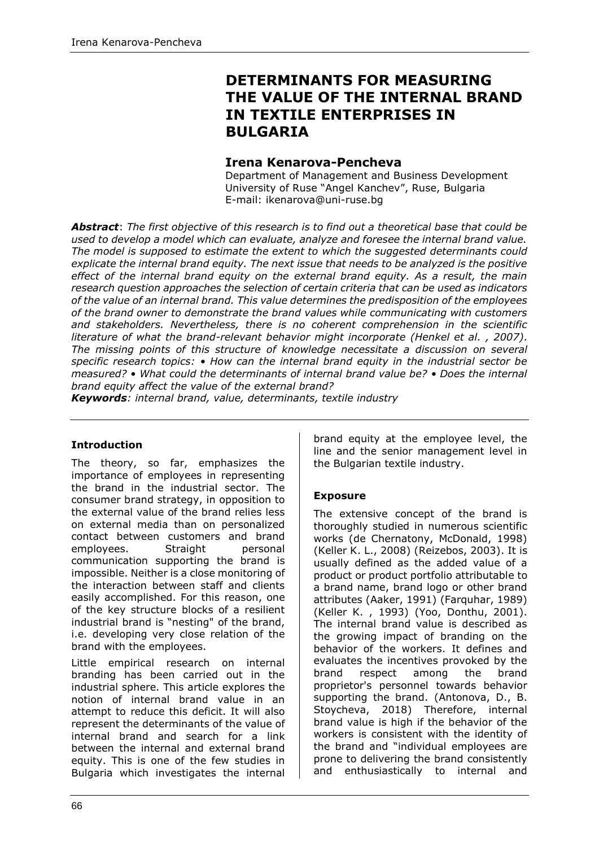# **DETERMINANTS FOR MEASURING THE VALUE OF THE INTERNAL BRAND IN TEXTILE ENTERPRISES IN BULGARIA**

### **Irena Kenarova-Pencheva**

Department of Management and Business Development University of Ruse "Angel Kanchev", Ruse, Bulgaria E-mail: ikenarova@uni-ruse.bg

*Abstract*: *The first objective of this research is to find out a theoretical base that could be used to develop a model which can evaluate, analyze and foresee the internal brand value. The model is supposed to estimate the extent to which the suggested determinants could explicate the internal brand equity. The next issue that needs to be analyzed is the positive effect of the internal brand equity on the external brand equity. As a result, the main research question approaches the selection of certain criteria that can be used as indicators of the value of an internal brand. This value determines the predisposition of the employees of the brand owner to demonstrate the brand values while communicating with customers and stakeholders. Nevertheless, there is no coherent comprehension in the scientific literature of what the brand-relevant behavior might incorporate (Henkel et al. , 2007). The missing points of this structure of knowledge necessitate a discussion on several specific research topics: • How can the internal brand equity in the industrial sector be measured? • What could the determinants of internal brand value be? • Does the internal brand equity affect the value of the external brand?*

*Keywords: internal brand, value, determinants, textile industry*

### **Introduction**

The theory, so far, emphasizes the importance of employees in representing the brand in the industrial sector. The consumer brand strategy, in opposition to the external value of the brand relies less on external media than on personalized contact between customers and brand employees. Straight personal communication supporting the brand is impossible. Neither is a close monitoring of the interaction between staff and clients easily accomplished. For this reason, one of the key structure blocks of a resilient industrial brand is "nesting" of the brand, i.e. developing very close relation of the brand with the employees.

Little empirical research on internal branding has been carried out in the industrial sphere. This article explores the notion of internal brand value in an attempt to reduce this deficit. It will also represent the determinants of the value of internal brand and search for a link between the internal and external brand equity. This is one of the few studies in Bulgaria which investigates the internal brand equity at the employee level, the line and the senior management level in the Bulgarian textile industry.

### **Exposure**

The extensive concept of the brand is thoroughly studied in numerous scientific works (de Chernatony, McDonald, 1998) (Keller K. L., 2008) (Reizebos, 2003). It is usually defined as the added value of a product or product portfolio attributable to a brand name, brand logo or other brand attributes (Aaker, 1991) (Farquhar, 1989) (Keller K. , 1993) (Yoo, Donthu, 2001). The internal brand value is described as the growing impact of branding on the behavior of the workers. It defines and evaluates the incentives provoked by the brand respect among the brand proprietor's personnel towards behavior supporting the brand. (Antonova, D., B. Stoycheva, 2018) Therefore, internal brand value is high if the behavior of the workers is consistent with the identity of the brand and "individual employees are prone to delivering the brand consistently and enthusiastically to internal and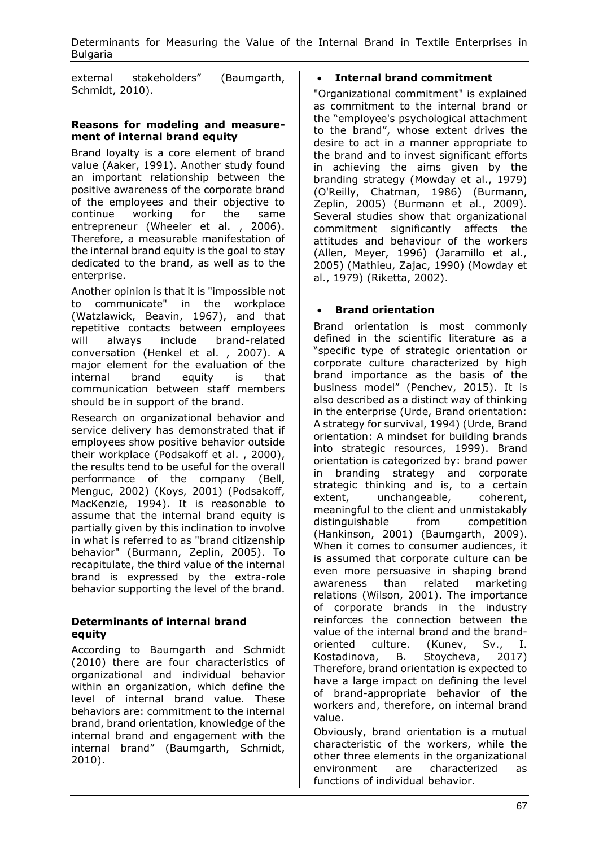Determinants for Measuring the Value of the Internal Brand in Textile Enterprises in **Bulgaria** 

external stakeholders" (Baumgarth, Schmidt, 2010).

#### **Reasons for modeling and measurement of internal brand equity**

Brand loyalty is a core element of brand value (Aaker, 1991). Another study found an important relationship between the positive awareness of the corporate brand of the employees and their objective to continue working for the same entrepreneur (Wheeler et al., 2006). Therefore, a measurable manifestation of the internal brand equity is the goal to stay dedicated to the brand, as well as to the enterprise.

Another opinion is that it is "impossible not to communicate" in the workplace (Watzlawick, Beavin, 1967), and that repetitive contacts between employees will always include brand-related conversation (Henkel et al. , 2007). A major element for the evaluation of the internal brand equity is that communication between staff members should be in support of the brand.

Research on organizational behavior and service delivery has demonstrated that if employees show positive behavior outside their workplace (Podsakoff et al. , 2000), the results tend to be useful for the overall performance of the company (Bell, Menguc, 2002) (Koys, 2001) (Podsakoff, MacKenzie, 1994). It is reasonable to assume that the internal brand equity is partially given by this inclination to involve in what is referred to as "brand citizenship behavior" (Burmann, Zeplin, 2005). To recapitulate, the third value of the internal brand is expressed by the extra-role behavior supporting the level of the brand.

### **Determinants of internal brand equity**

According to Baumgarth and Schmidt (2010) there are four characteristics of organizational and individual behavior within an organization, which define the level of internal brand value. These behaviors are: commitment to the internal brand, brand orientation, knowledge of the internal brand and engagement with the internal brand" (Baumgarth, Schmidt, 2010).

# • **Internal brand commitment**

"Organizational commitment" is explained as commitment to the internal brand or the "employee's psychological attachment to the brand", whose extent drives the desire to act in a manner appropriate to the brand and to invest significant efforts in achieving the aims given by the branding strategy (Mowday et al., 1979) (O'Reilly, Chatman, 1986) (Burmann, Zeplin, 2005) (Burmann et al., 2009). Several studies show that organizational commitment significantly affects the attitudes and behaviour of the workers (Allen, Meyer, 1996) (Jaramillo et al., 2005) (Mathieu, Zajac, 1990) (Mowday et al., 1979) (Riketta, 2002).

# • **Brand orientation**

Brand orientation is most commonly defined in the scientific literature as a "specific type of strategic orientation or corporate culture characterized by high brand importance as the basis of the business model" (Penchev, 2015). It is also described as a distinct way of thinking in the enterprise (Urde, Brand orientation: A strategy for survival, 1994) (Urde, Brand orientation: A mindset for building brands into strategic resources, 1999). Brand orientation is categorized by: brand power in branding strategy and corporate strategic thinking and is, to a certain extent, unchangeable, coherent, meaningful to the client and unmistakably distinguishable from competition (Hankinson, 2001) (Baumgarth, 2009). When it comes to consumer audiences, it is assumed that corporate culture can be even more persuasive in shaping brand awareness than related marketing relations (Wilson, 2001). The importance of corporate brands in the industry reinforces the connection between the value of the internal brand and the brandoriented culture. (Kunev, Sv., I. Kostadinova, B. Stoycheva, 2017) Therefore, brand orientation is expected to have a large impact on defining the level of brand-appropriate behavior of the workers and, therefore, on internal brand value.

Obviously, brand orientation is a mutual characteristic of the workers, while the other three elements in the organizational environment are characterized as functions of individual behavior.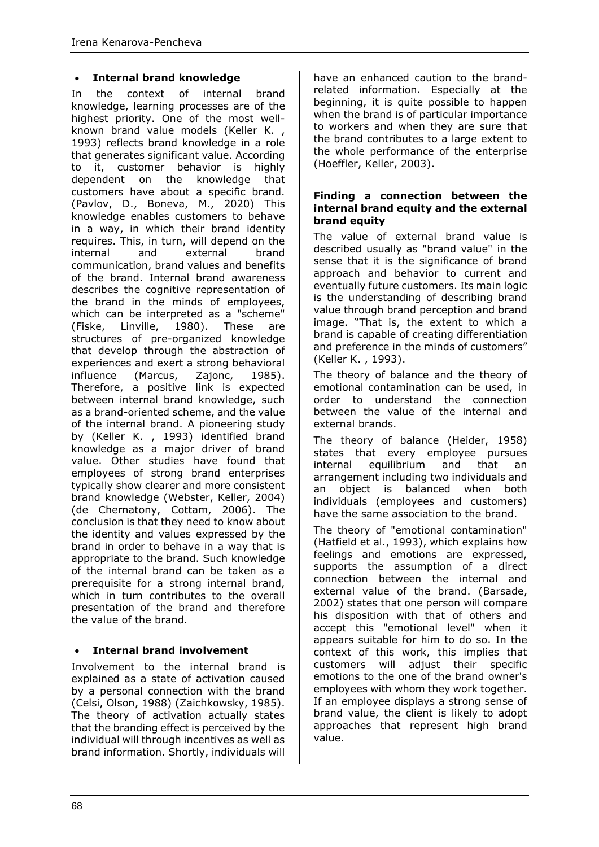### • **Internal brand knowledge**

In the context of internal brand knowledge, learning processes are of the highest priority. One of the most wellknown brand value models (Keller K. , 1993) reflects brand knowledge in a role that generates significant value. According to it, customer behavior is highly dependent on the knowledge that customers have about a specific brand. (Pavlov, D., Boneva, M., 2020) This knowledge enables customers to behave in a way, in which their brand identity requires. This, in turn, will depend on the internal and external brand communication, brand values and benefits of the brand. Internal brand awareness describes the cognitive representation of the brand in the minds of employees, which can be interpreted as a "scheme" (Fiske, Linville, 1980). These are structures of pre-organized knowledge that develop through the abstraction of experiences and exert a strong behavioral influence (Marcus, Zajonc, 1985). Therefore, a positive link is expected between internal brand knowledge, such as a brand-oriented scheme, and the value of the internal brand. A pioneering study by (Keller K. , 1993) identified brand knowledge as a major driver of brand value. Other studies have found that employees of strong brand enterprises typically show clearer and more consistent brand knowledge (Webster, Keller, 2004) (de Chernatony, Cottam, 2006). The conclusion is that they need to know about the identity and values expressed by the brand in order to behave in a way that is appropriate to the brand. Such knowledge of the internal brand can be taken as a prerequisite for a strong internal brand, which in turn contributes to the overall presentation of the brand and therefore the value of the brand.

# • **Internal brand involvement**

Involvement to the internal brand is explained as a state of activation caused by a personal connection with the brand (Celsi, Olson, 1988) (Zaichkowsky, 1985). The theory of activation actually states that the branding effect is perceived by the individual will through incentives as well as brand information. Shortly, individuals will have an enhanced caution to the brandrelated information. Especially at the beginning, it is quite possible to happen when the brand is of particular importance to workers and when they are sure that the brand contributes to a large extent to the whole performance of the enterprise (Hoeffler, Keller, 2003).

#### **Finding a connection between the internal brand equity and the external brand equity**

The value of external brand value is described usually as "brand value" in the sense that it is the significance of brand approach and behavior to current and eventually future customers. Its main logic is the understanding of describing brand value through brand perception and brand image. "That is, the extent to which a brand is capable of creating differentiation and preference in the minds of customers" (Keller K. , 1993).

The theory of balance and the theory of emotional contamination can be used, in order to understand the connection between the value of the internal and external brands.

The theory of balance (Heider, 1958) states that every employee pursues internal equilibrium and that an arrangement including two individuals and an object is balanced when both individuals (employees and customers) have the same association to the brand.

The theory of "emotional contamination" (Hatfield et al., 1993), which explains how feelings and emotions are expressed, supports the assumption of a direct connection between the internal and external value of the brand. (Barsade, 2002) states that one person will compare his disposition with that of others and accept this "emotional level" when it appears suitable for him to do so. In the context of this work, this implies that customers will adjust their specific emotions to the one of the brand owner's employees with whom they work together. If an employee displays a strong sense of brand value, the client is likely to adopt approaches that represent high brand value.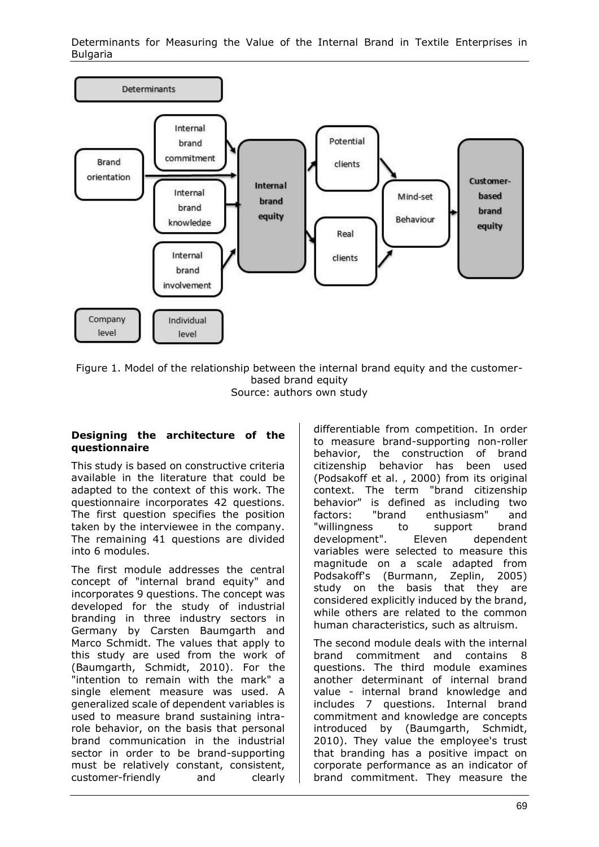Determinants for Measuring the Value of the Internal Brand in Textile Enterprises in Bulgaria



Figure 1. Model of the relationship between the internal brand equity and the customerbased brand equity

Source: authors own study

#### **Designing the architecture of the questionnaire**

This study is based on constructive criteria available in the literature that could be adapted to the context of this work. The questionnaire incorporates 42 questions. The first question specifies the position taken by the interviewee in the company. The remaining 41 questions are divided into 6 modules.

The first module addresses the central concept of "internal brand equity" and incorporates 9 questions. The concept was developed for the study of industrial branding in three industry sectors in Germany by Carsten Baumgarth and Marco Schmidt. The values that apply to this study are used from the work of (Baumgarth, Schmidt, 2010). For the "intention to remain with the mark" a single element measure was used. A generalized scale of dependent variables is used to measure brand sustaining intrarole behavior, on the basis that personal brand communication in the industrial sector in order to be brand-supporting must be relatively constant, consistent, customer-friendly and clearly differentiable from competition. In order to measure brand-supporting non-roller behavior, the construction of brand citizenship behavior has been used (Podsakoff et al. , 2000) from its original context. The term "brand citizenship behavior" is defined as including two factors: "brand enthusiasm" and "willingness to support brand development". Eleven dependent variables were selected to measure this magnitude on a scale adapted from Podsakoff's (Burmann, Zeplin, 2005) study on the basis that they are considered explicitly induced by the brand, while others are related to the common human characteristics, such as altruism.

The second module deals with the internal brand commitment and contains 8 questions. The third module examines another determinant of internal brand value - internal brand knowledge and includes 7 questions. Internal brand commitment and knowledge are concepts introduced by (Baumgarth, Schmidt, 2010). They value the employee's trust that branding has a positive impact on corporate performance as an indicator of brand commitment. They measure the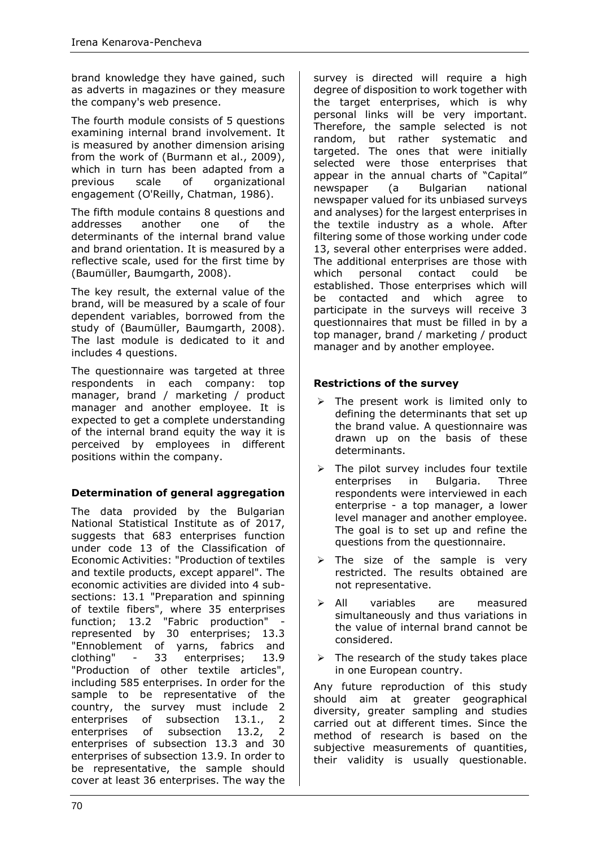brand knowledge they have gained, such as adverts in magazines or they measure the company's web presence.

The fourth module consists of 5 questions examining internal brand involvement. It is measured by another dimension arising from the work of (Burmann et al., 2009), which in turn has been adapted from a previous scale of organizational engagement (O'Reilly, Chatman, 1986).

The fifth module contains 8 questions and addresses another one of the determinants of the internal brand value and brand orientation. It is measured by a reflective scale, used for the first time by (Baumüller, Baumgarth, 2008).

The key result, the external value of the brand, will be measured by a scale of four dependent variables, borrowed from the study of (Baumüller, Baumgarth, 2008). The last module is dedicated to it and includes 4 questions.

The questionnaire was targeted at three respondents in each company: top manager, brand / marketing / product manager and another employee. It is expected to get a complete understanding of the internal brand equity the way it is perceived by employees in different positions within the company.

# **Determination of general aggregation**

The data provided by the Bulgarian National Statistical Institute as of 2017, suggests that 683 enterprises function under code 13 of the Classification of Economic Activities: "Production of textiles and textile products, except apparel". The economic activities are divided into 4 subsections: 13.1 "Preparation and spinning of textile fibers", where 35 enterprises function; 13.2 "Fabric production" represented by 30 enterprises; 13.3 "Ennoblement of yarns, fabrics and clothing" - 33 enterprises; 13.9 "Production of other textile articles", including 585 enterprises. In order for the sample to be representative of the country, the survey must include 2 enterprises of subsection 13.1., 2 enterprises of subsection 13.2, 2 enterprises of subsection 13.3 and 30 enterprises of subsection 13.9. In order to be representative, the sample should cover at least 36 enterprises. The way the

survey is directed will require a high degree of disposition to work together with the target enterprises, which is why personal links will be very important. Therefore, the sample selected is not random, but rather systematic and targeted. The ones that were initially selected were those enterprises that appear in the annual charts of "Capital" newspaper (a Bulgarian national newspaper valued for its unbiased surveys and analyses) for the largest enterprises in the textile industry as a whole. After filtering some of those working under code 13, several other enterprises were added. The additional enterprises are those with which personal contact could be established. Those enterprises which will be contacted and which agree to participate in the surveys will receive 3 questionnaires that must be filled in by a top manager, brand / marketing / product manager and by another employee.

### **Restrictions of the survey**

- ➢ The present work is limited only to defining the determinants that set up the brand value. A questionnaire was drawn up on the basis of these determinants.
- $\triangleright$  The pilot survey includes four textile enterprises in Bulgaria. Three respondents were interviewed in each enterprise - a top manager, a lower level manager and another employee. The goal is to set up and refine the questions from the questionnaire.
- $\triangleright$  The size of the sample is very restricted. The results obtained are not representative.
- ➢ All variables are measured simultaneously and thus variations in the value of internal brand cannot be considered.
- $\triangleright$  The research of the study takes place in one European country.

Any future reproduction of this study should aim at greater geographical diversity, greater sampling and studies carried out at different times. Since the method of research is based on the subjective measurements of quantities, their validity is usually questionable.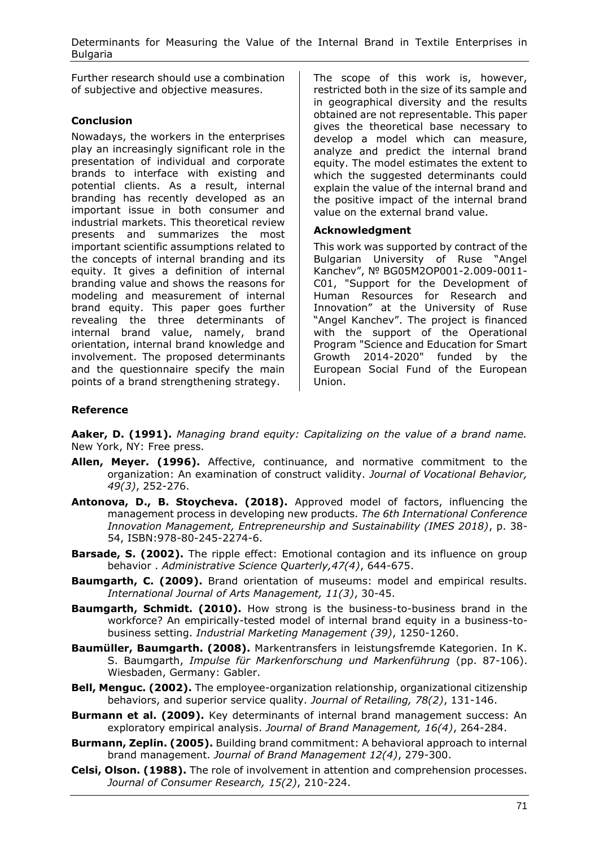Determinants for Measuring the Value of the Internal Brand in Textile Enterprises in **Bulgaria** 

Further research should use a combination of subjective and objective measures.

### **Conclusion**

Nowadays, the workers in the enterprises play an increasingly significant role in the presentation of individual and corporate brands to interface with existing and potential clients. As a result, internal branding has recently developed as an important issue in both consumer and industrial markets. This theoretical review presents and summarizes the most important scientific assumptions related to the concepts of internal branding and its equity. It gives a definition of internal branding value and shows the reasons for modeling and measurement of internal brand equity. This paper goes further revealing the three determinants of internal brand value, namely, brand orientation, internal brand knowledge and involvement. The proposed determinants and the questionnaire specify the main points of a brand strengthening strategy.

The scope of this work is, however, restricted both in the size of its sample and in geographical diversity and the results obtained are not representable. This paper gives the theoretical base necessary to develop a model which can measure, analyze and predict the internal brand equity. The model estimates the extent to which the suggested determinants could explain the value of the internal brand and the positive impact of the internal brand value on the external brand value.

### **Acknowledgment**

This work was supported by contract of the Bulgarian University of Ruse "Angel Kanchev", № BG05M2OP001-2.009-0011- С01, "Support for the Development of Human Resources for Research and Innovation" at the University of Ruse "Angel Kanchev". The project is financed with the support of the Operational Program "Science and Education for Smart Growth 2014-2020" funded by the European Social Fund of the European Union.

### **Reference**

**Aaker, D. (1991).** *Managing brand equity: Capitalizing on the value of a brand name.* New York, NY: Free press.

- **Allen, Meyer. (1996).** Affective, continuance, and normative commitment to the organization: An examination of construct validity. *Journal of Vocational Behavior, 49(3)*, 252-276.
- **Antonova, D., B. Stoycheva. (2018).** Approved model of factors, influencing the management process in developing new products. *The 6th International Conference Innovation Management, Entrepreneurship and Sustainability (IMES 2018)*, p. 38- 54, ISBN:978-80-245-2274-6.
- **Barsade, S. (2002).** The ripple effect: Emotional contagion and its influence on group behavior . *Administrative Science Quarterly,47(4)*, 644-675.
- **Baumgarth, C. (2009).** Brand orientation of museums: model and empirical results. *International Journal of Arts Management, 11(3)*, 30-45.
- **Baumgarth, Schmidt. (2010).** How strong is the business-to-business brand in the workforce? An empirically-tested model of internal brand equity in a business-tobusiness setting. *Industrial Marketing Management (39)*, 1250-1260.
- **Baumüller, Baumgarth. (2008).** Markentransfers in leistungsfremde Kategorien. In K. S. Baumgarth, *Impulse für Markenforschung und Markenführung* (pp. 87-106). Wiesbaden, Germany: Gabler.
- **Bell, Menguc. (2002).** The employee-organization relationship, organizational citizenship behaviors, and superior service quality. *Journal of Retailing, 78(2)*, 131-146.
- **Burmann et al. (2009).** Key determinants of internal brand management success: An exploratory empirical analysis. *Journal of Brand Management, 16(4)*, 264-284.
- **Burmann, Zeplin. (2005).** Building brand commitment: A behavioral approach to internal brand management. *Journal of Brand Management 12(4)*, 279-300.
- **Celsi, Olson. (1988).** The role of involvement in attention and comprehension processes. *Journal of Consumer Research, 15(2)*, 210-224.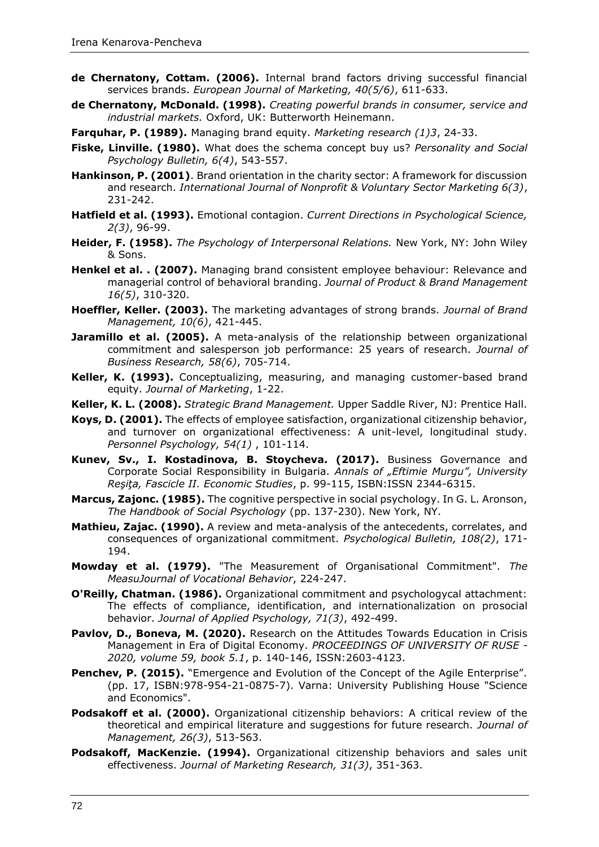- **de Chernatony, Cottam. (2006).** Internal brand factors driving successful financial services brands. *European Journal of Marketing, 40(5/6)*, 611-633.
- **de Chernatony, McDonald. (1998).** *Creating powerful brands in consumer, service and industrial markets.* Oxford, UK: Butterworth Heinemann.
- **Farquhar, P. (1989).** Managing brand equity. *Marketing research (1)3*, 24-33.
- **Fiske, Linville. (1980).** What does the schema concept buy us? *Personality and Social Psychology Bulletin, 6(4)*, 543-557.
- **Hankinson, P. (2001)**. Brand orientation in the charity sector: A framework for discussion and research. *International Journal of Nonprofit & Voluntary Sector Marketing 6(3)*, 231-242.
- **Hatfield et al. (1993).** Emotional contagion. *Current Directions in Psychological Science, 2(3)*, 96-99.
- **Heider, F. (1958).** *The Psychology of Interpersonal Relations.* New York, NY: John Wiley & Sons.
- **Henkel et al. . (2007).** Managing brand consistent employee behaviour: Relevance and managerial control of behavioral branding. *Journal of Product & Brand Management 16(5)*, 310-320.
- **Hoeffler, Keller. (2003).** The marketing advantages of strong brands. *Journal of Brand Management, 10(6)*, 421-445.
- **Jaramillo et al. (2005).** A meta-analysis of the relationship between organizational commitment and salesperson job performance: 25 years of research. *Journal of Business Research, 58(6)*, 705-714.
- **Keller, K. (1993).** Conceptualizing, measuring, and managing customer-based brand equity. *Journal of Marketing*, 1-22.
- **Keller, K. L. (2008).** *Strategic Brand Management.* Upper Saddle River, NJ: Prentice Hall.
- **Koys, D. (2001).** The effects of employee satisfaction, organizational citizenship behavior, and turnover on organizational effectiveness: A unit-level, longitudinal study. *Personnel Psychology, 54(1)* , 101-114.
- **Kunev, Sv., I. Kostadinova, B. Stoycheva. (2017).** Business Governance and Corporate Social Responsibility in Bulgaria. *Annals of "Eftimie Murgu", University Reşiţa, Fascicle II. Economic Studies*, p. 99-115, ISBN:ISSN 2344-6315.
- **Marcus, Zajonc. (1985).** The cognitive perspective in social psychology. In G. L. Aronson, *The Handbook of Social Psychology* (pp. 137-230). New York, NY.
- **Mathieu, Zajac. (1990).** A review and meta-analysis of the antecedents, correlates, and consequences of organizational commitment. *Psychological Bulletin, 108(2)*, 171- 194.
- **Mowday et al. (1979).** "The Measurement of Organisational Commitment". *The MeasuJournal of Vocational Behavior*, 224-247.
- **O'Reilly, Chatman. (1986).** Organizational commitment and psychologycal attachment: The effects of compliance, identification, and internationalization on prosocial behavior. *Journal of Applied Psychology, 71(3)*, 492-499.
- Pavlov, D., Boneva, M. (2020). Research on the Attitudes Towards Education in Crisis Management in Era of Digital Economy. *PROCEEDINGS OF UNIVERSITY OF RUSE - 2020, volume 59, book 5.1*, p. 140-146, ISSN:2603-4123.
- **Penchev, P. (2015).** "Emergence and Evolution of the Concept of the Agile Enterprise". (pp. 17, ISBN:978-954-21-0875-7). Varna: University Publishing House "Science and Economics".
- **Podsakoff et al. (2000).** Organizational citizenship behaviors: A critical review of the theoretical and empirical literature and suggestions for future research. *Journal of Management, 26(3)*, 513-563.
- **Podsakoff, MacKenzie. (1994).** Organizational citizenship behaviors and sales unit effectiveness. *Journal of Marketing Research, 31(3)*, 351-363.